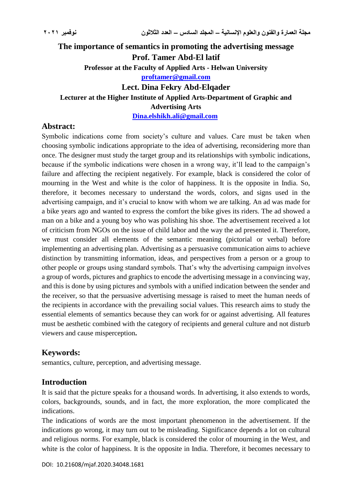# **The importance of semantics in promoting the advertising message Prof. Tamer Abd-El latif Professor at the Faculty of Applied Arts - Helwan University [proftamer@gmail.com](mailto:proftamer@gmail.com) Lect. Dina Fekry Abd-Elqader Lecturer at the Higher Institute of Applied Arts-Department of Graphic and Advertising Arts**

**[Dina.elshikh.ali@gmail.com](mailto:Dina.elshikh.ali@gmail.com)**

### **Abstract:**

Symbolic indications come from society's culture and values. Care must be taken when choosing symbolic indications appropriate to the idea of advertising, reconsidering more than once. The designer must study the target group and its relationships with symbolic indications, because if the symbolic indications were chosen in a wrong way, it'll lead to the campaign's failure and affecting the recipient negatively. For example, black is considered the color of mourning in the West and white is the color of happiness. It is the opposite in India. So, therefore, it becomes necessary to understand the words, colors, and signs used in the advertising campaign, and it's crucial to know with whom we are talking. An ad was made for a bike years ago and wanted to express the comfort the bike gives its riders. The ad showed a man on a bike and a young boy who was polishing his shoe. The advertisement received a lot of criticism from NGOs on the issue of child labor and the way the ad presented it. Therefore, we must consider all elements of the semantic meaning (pictorial or verbal) before implementing an advertising plan. Advertising as a persuasive communication aims to achieve distinction by transmitting information, ideas, and perspectives from a person or a group to other people or groups using standard symbols. That's why the advertising campaign involves a group of words, pictures and graphics to encode the advertising message in a convincing way, and this is done by using pictures and symbols with a unified indication between the sender and the receiver, so that the persuasive advertising message is raised to meet the human needs of the recipients in accordance with the prevailing social values. This research aims to study the essential elements of semantics because they can work for or against advertising. All features must be aesthetic combined with the category of recipients and general culture and not disturb viewers and cause misperception**.**

## **Keywords:**

semantics, culture, perception, and advertising message.

#### **Introduction**

It is said that the picture speaks for a thousand words. In advertising, it also extends to words, colors, backgrounds, sounds, and in fact, the more exploration, the more complicated the indications.

The indications of words are the most important phenomenon in the advertisement. If the indications go wrong, it may turn out to be misleading. Significance depends a lot on cultural and religious norms. For example, black is considered the color of mourning in the West, and white is the color of happiness. It is the opposite in India. Therefore, it becomes necessary to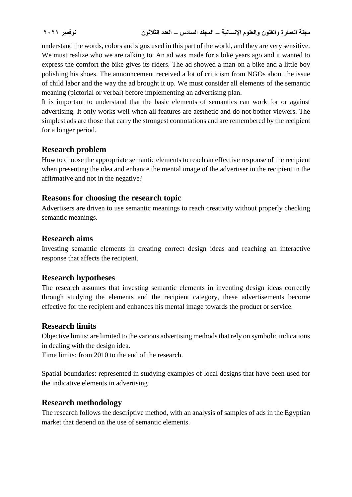understand the words, colors and signs used in this part of the world, and they are very sensitive. We must realize who we are talking to. An ad was made for a bike years ago and it wanted to express the comfort the bike gives its riders. The ad showed a man on a bike and a little boy polishing his shoes. The announcement received a lot of criticism from NGOs about the issue of child labor and the way the ad brought it up. We must consider all elements of the semantic meaning (pictorial or verbal) before implementing an advertising plan.

It is important to understand that the basic elements of semantics can work for or against advertising. It only works well when all features are aesthetic and do not bother viewers. The simplest ads are those that carry the strongest connotations and are remembered by the recipient for a longer period.

### **Research problem**

How to choose the appropriate semantic elements to reach an effective response of the recipient when presenting the idea and enhance the mental image of the advertiser in the recipient in the affirmative and not in the negative?

### **Reasons for choosing the research topic**

Advertisers are driven to use semantic meanings to reach creativity without properly checking semantic meanings.

#### **Research aims**

Investing semantic elements in creating correct design ideas and reaching an interactive response that affects the recipient.

#### **Research hypotheses**

The research assumes that investing semantic elements in inventing design ideas correctly through studying the elements and the recipient category, these advertisements become effective for the recipient and enhances his mental image towards the product or service.

#### **Research limits**

Objective limits: are limited to the various advertising methods that rely on symbolic indications in dealing with the design idea.

Time limits: from 2010 to the end of the research.

Spatial boundaries: represented in studying examples of local designs that have been used for the indicative elements in advertising

#### **Research methodology**

The research follows the descriptive method, with an analysis of samples of ads in the Egyptian market that depend on the use of semantic elements.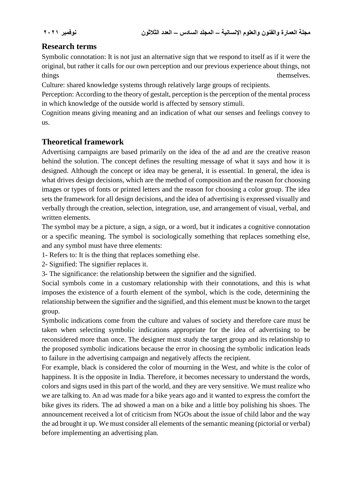## **Research terms**

Symbolic connotation: It is not just an alternative sign that we respond to itself as if it were the original, but rather it calls for our own perception and our previous experience about things, not things themselves.

Culture: shared knowledge systems through relatively large groups of recipients.

Perception: According to the theory of gestalt, perception is the perception of the mental process in which knowledge of the outside world is affected by sensory stimuli.

Cognition means giving meaning and an indication of what our senses and feelings convey to us.

## **Theoretical framework**

Advertising campaigns are based primarily on the idea of the ad and are the creative reason behind the solution. The concept defines the resulting message of what it says and how it is designed. Although the concept or idea may be general, it is essential. In general, the idea is what drives design decisions, which are the method of composition and the reason for choosing images or types of fonts or printed letters and the reason for choosing a color group. The idea sets the framework for all design decisions, and the idea of advertising is expressed visually and verbally through the creation, selection, integration, use, and arrangement of visual, verbal, and written elements.

The symbol may be a picture, a sign, a sign, or a word, but it indicates a cognitive connotation or a specific meaning. The symbol is sociologically something that replaces something else, and any symbol must have three elements:

1- Refers to: It is the thing that replaces something else.

2- Signified: The signifier replaces it.

3- The significance: the relationship between the signifier and the signified.

Social symbols come in a customary relationship with their connotations, and this is what imposes the existence of a fourth element of the symbol, which is the code, determining the relationship between the signifier and the signified, and this element must be known to the target group.

Symbolic indications come from the culture and values of society and therefore care must be taken when selecting symbolic indications appropriate for the idea of advertising to be reconsidered more than once. The designer must study the target group and its relationship to the proposed symbolic indications because the error in choosing the symbolic indication leads to failure in the advertising campaign and negatively affects the recipient.

For example, black is considered the color of mourning in the West, and white is the color of happiness. It is the opposite in India. Therefore, it becomes necessary to understand the words, colors and signs used in this part of the world, and they are very sensitive. We must realize who we are talking to. An ad was made for a bike years ago and it wanted to express the comfort the bike gives its riders. The ad showed a man on a bike and a little boy polishing his shoes. The announcement received a lot of criticism from NGOs about the issue of child labor and the way the ad brought it up. We must consider all elements of the semantic meaning (pictorial or verbal) before implementing an advertising plan.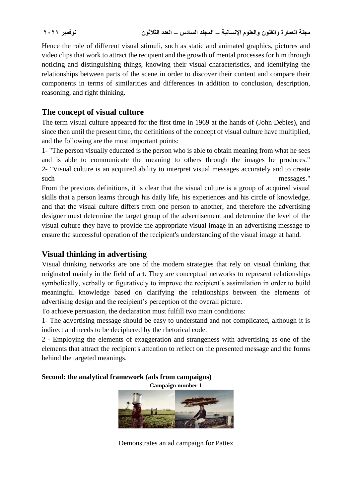Hence the role of different visual stimuli, such as static and animated graphics, pictures and video clips that work to attract the recipient and the growth of mental processes for him through noticing and distinguishing things, knowing their visual characteristics, and identifying the relationships between parts of the scene in order to discover their content and compare their components in terms of similarities and differences in addition to conclusion, description, reasoning, and right thinking.

## **The concept of visual culture**

The term visual culture appeared for the first time in 1969 at the hands of (John Debies), and since then until the present time, the definitions of the concept of visual culture have multiplied, and the following are the most important points:

1- "The person visually educated is the person who is able to obtain meaning from what he sees and is able to communicate the meaning to others through the images he produces." 2- "Visual culture is an acquired ability to interpret visual messages accurately and to create such messages."

From the previous definitions, it is clear that the visual culture is a group of acquired visual skills that a person learns through his daily life, his experiences and his circle of knowledge, and that the visual culture differs from one person to another, and therefore the advertising designer must determine the target group of the advertisement and determine the level of the visual culture they have to provide the appropriate visual image in an advertising message to ensure the successful operation of the recipient's understanding of the visual image at hand.

## **Visual thinking in advertising**

Visual thinking networks are one of the modern strategies that rely on visual thinking that originated mainly in the field of art. They are conceptual networks to represent relationships symbolically, verbally or figuratively to improve the recipient's assimilation in order to build meaningful knowledge based on clarifying the relationships between the elements of advertising design and the recipient's perception of the overall picture.

To achieve persuasion, the declaration must fulfill two main conditions:

1- The advertising message should be easy to understand and not complicated, although it is indirect and needs to be deciphered by the rhetorical code.

2 - Employing the elements of exaggeration and strangeness with advertising as one of the elements that attract the recipient's attention to reflect on the presented message and the forms behind the targeted meanings.

#### **Second: the analytical framework (ads from campaigns)**

**Campaign number 1**



Demonstrates an ad campaign for Pattex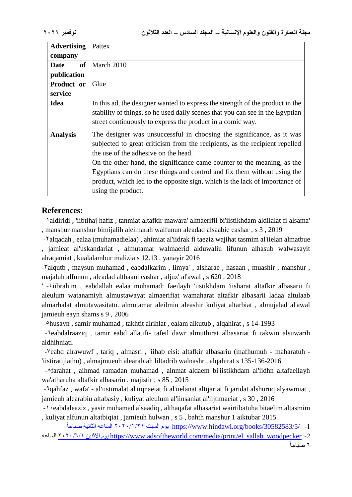| <b>Advertising</b> | Pattex                                                                        |
|--------------------|-------------------------------------------------------------------------------|
| company            |                                                                               |
| of<br>Date         | March 2010                                                                    |
| publication        |                                                                               |
| <b>Product or</b>  | Glue                                                                          |
| service            |                                                                               |
| <b>Idea</b>        | In this ad, the designer wanted to express the strength of the product in the |
|                    | stability of things, so he used daily scenes that you can see in the Egyptian |
|                    | street continuously to express the product in a comic way.                    |
| <b>Analysis</b>    | The designer was unsuccessful in choosing the significance, as it was         |
|                    | subjected to great criticism from the recipients, as the recipient repelled   |
|                    | the use of the adhesive on the head.                                          |
|                    | On the other hand, the significance came counter to the meaning, as the       |
|                    | Egyptians can do these things and control and fix them without using the      |
|                    | product, which led to the opposite sign, which is the lack of importance of   |
|                    | using the product.                                                            |

## **References:**

ĺ

-1aldiridi , 'iibtihaj hafiz , tanmiat altafkir mawara' almaerifii bi'iistikhdam aldilalat fi alsama' , manshur manshur bimijalih aleimarah walfunun aleadad alsaabie eashar , s 3 , 2019

-2alqadah , ealaa (muhamadielaa) , ahimiat al'iidrak fi taeziz wajihat tasmim al'iielan almatbue , jamieat al'uskandariat , almutamar walmaerid alduwaliu lifunun alhasub walwasayit alraqamiat , kualalambur malizia s 12.13 , yanayir 2016

-Talqutb, maysun muhamad, eabdalkarim, limya', alsharae, hasaan, muashir, manshur, majaluh alfunun , aleadad althaani eashar , aljuz' al'awal , s 620 , 2018

' -4iibrahim , eabdallah ealaa muhamad: faeilayh 'iistikhdam 'iisharat altafkir albasarii fi aleulum watanamiyh almustawayat almaerifiat wamaharat altafkir albasarii ladaa altulaab almarhalat almutawasitatu. almutamar aleilmiu aleashir kuliyat altarbiat , almujalad al'awal jamieuh eayn shams s 9 , 2006

-5husayn , samir muhamad , takhtit alrihlat , ealam alkutub , alqahirat , s 14-1993

-Veabdalraaziq, tamir eabd allatifi- tafeil dawr almuthirat albasariat fi takwin alsuwarih aldhihniati.

-7eabd alrawuwf , tariq , almasri , 'iihab eisi: altafkir albasariu (mafhumuh - maharatuh - 'iistiratijiathu) , almajmueuh alearabiah liltadrib walnashr , alqahirat s 135-136-2016

-8farahat , aihmad ramadan muhamad , ainmat aldaem bi'iistikhdam al'iidhn altafaeilayh wa'atharuha altafkir albasariu , majistir , s 85 , 2015

-9qahfaz , wafa' - al'iistimalat al'iiqnaeiat fi al'iielanat altijariat fi jaridat alshuruq alyawmiat , jamieuh alearabiu altabasiy , kuliyat aleulum al'iinsaniat al'iijtimaeiat , s 30 , 2016

-1. eabdaleaziz, yasir muhamad alsaadiq, althaqafat albasariat wairtibatuha bitaelim altasmim , kuliyat alfunun altatbiqiat , jamieuh hulwan , s 5 , bahth manshur 1 aiktubar 2015

-1 [/30582583/5/books/org.hindawi.www://https](https://www.hindawi.org/books/30582583/5/) يوم السبت 2020/1/21 الساعه الثانية صباحا

 الساعه 2020/6/1 االثنين يوم [https://www.adsoftheworld.com/media/print/el\\_sallab\\_woodpecker](https://www.adsoftheworld.com/media/print/el_sallab_woodpecker%20يوم%20الاثنين%201/6/2020) -2 ĺ 6 صباحا